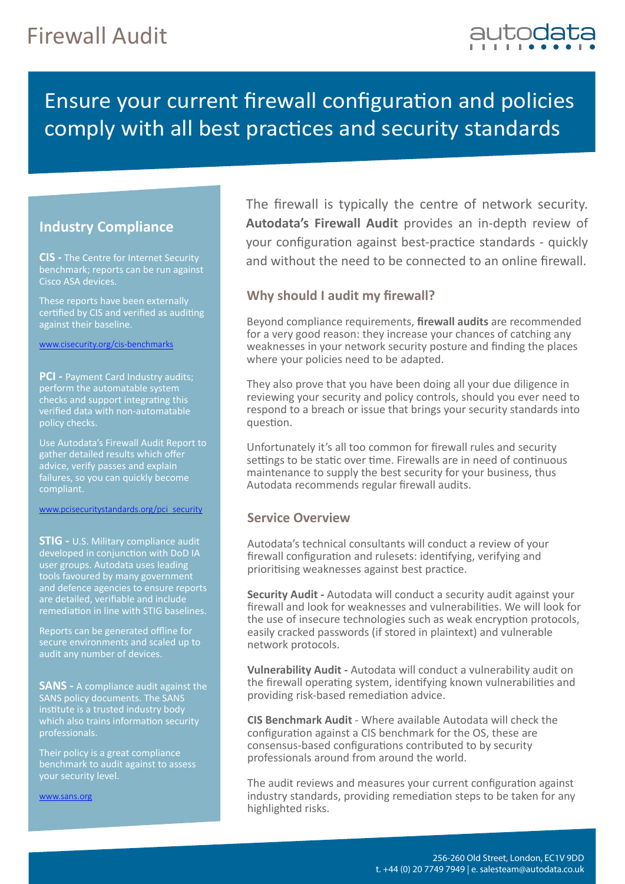

## Ensure your current firewall configuration and policies comply with all best practices and security standards

### **Industry Compliance**

**CIS -** The Centre for Internet Security benchmark; reports can be run against Cisco ASA devices.

certified by CIS and verified as auditing against their baseline.

www.cisecurity.org/cis-benchmarks

**PCI - Payment Card Industry audits;** perform the automatable system checks and support integrating this verified data with non-automatable policy checks.

Use Autodata's Firewall Audit Report to gather detailed results which offer advice, verify passes and explain failures, so you can quickly become compliant.

www.pcisecuritystandards.org/pci\_security

**STIG -** U.S. Military compliance audit developed in conjunction with DoD IA user groups. Autodata uses leading tools favoured by many government and defence agencies to ensure reports are detailed, verifiable and include remediation in line with STIG baselines.

Reports can be generated offline for secure environments and scaled up to audit any number of devices.

**SANS** - A compliance audit against the SANS policy documents. The SANS institute is a trusted industry body which also trains information security professionals.

Their policy is a great compliance benchmark to audit against to assess your security level.

www.sans.org

The firewall is typically the centre of network security. **Autodata's Firewall Audit** provides an in-depth review of your configuration against best-practice standards - quickly and without the need to be connected to an online firewall.

### **Why should I audit my firewall?**

Beyond compliance requirements, **firewall audits** are recommended for a very good reason: they increase your chances of catching any weaknesses in your network security posture and finding the places where your policies need to be adapted.

They also prove that you have been doing all your due diligence in reviewing your security and policy controls, should you ever need to respond to a breach or issue that brings your security standards into question.

Unfortunately it's all too common for firewall rules and security settings to be static over time. Firewalls are in need of continuous maintenance to supply the best security for your business, thus Autodata recommends regular firewall audits.

### **Service Overview**

Autodata's technical consultants will conduct a review of your firewall configuration and rulesets: identifying, verifying and prioritising weaknesses against best practice.

**Security Audit -** Autodata will conduct a security audit against your firewall and look for weaknesses and vulnerabilities. We will look for the use of insecure technologies such as weak encryption protocols, easily cracked passwords (if stored in plaintext) and vulnerable network protocols.

**Vulnerability Audit -** Autodata will conduct a vulnerability audit on the firewall operating system, identifying known vulnerabilities and providing risk-based remediation advice.

**CIS Benchmark Audit** - Where available Autodata will check the configuration against a CIS benchmark for the OS, these are consensus-based configurations contributed to by security professionals around from around the world.

The audit reviews and measures your current configuration against industry standards, providing remediation steps to be taken for any highlighted risks.